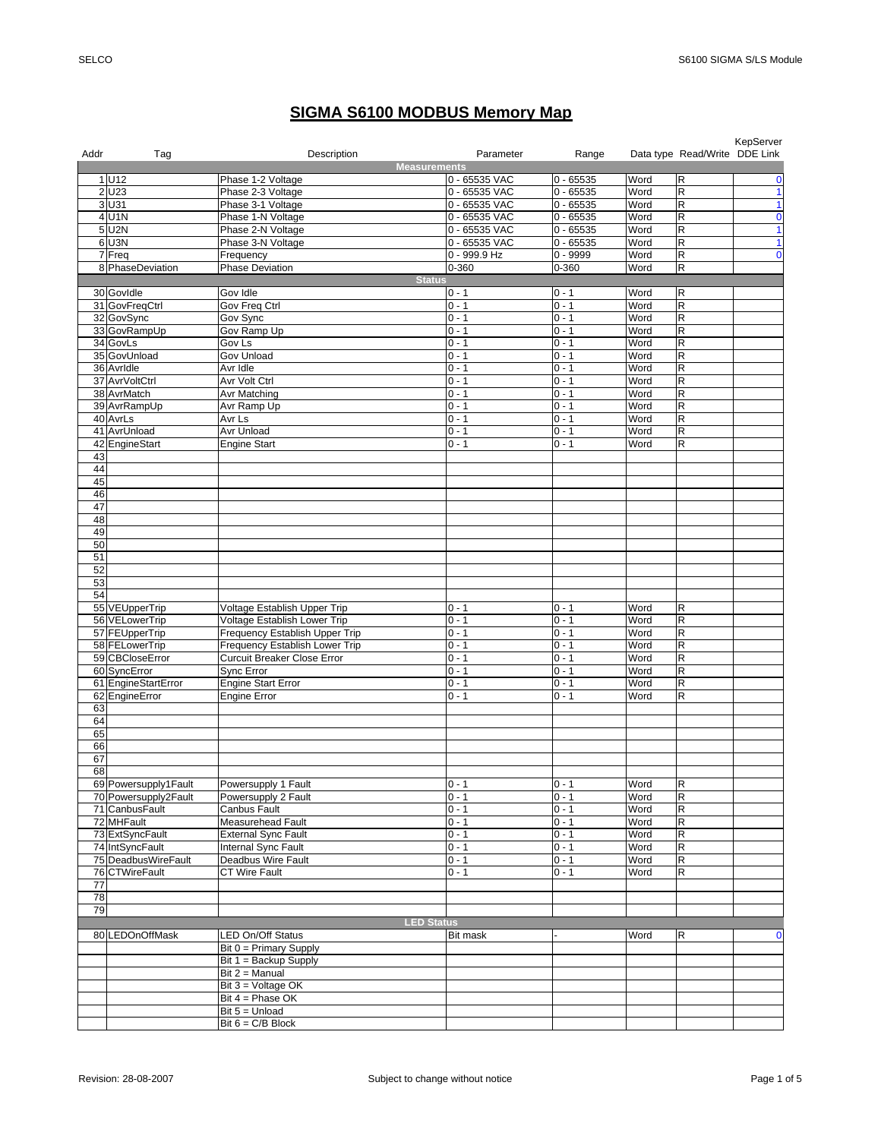## **SIGMA S6100 MODBUS Memory Map**

| Addr | Tag                              | Description<br><b>Measurements</b>                             | Parameter          | Range              |              | Data type Read/Write DDE Link | KepServer    |
|------|----------------------------------|----------------------------------------------------------------|--------------------|--------------------|--------------|-------------------------------|--------------|
|      | 1 U12                            | Phase 1-2 Voltage                                              | 0 - 65535 VAC      | $0 - 65535$        | Word         | $\mathsf R$                   | $\mathbf 0$  |
|      | 2 U23                            | Phase 2-3 Voltage                                              | 0 - 65535 VAC      | $0 - 65535$        | Word         | $\overline{\mathsf{R}}$       | $\mathbf{1}$ |
|      | 3 U31                            | Phase 3-1 Voltage                                              | 0 - 65535 VAC      | $0 - 65535$        | Word         | R                             | $\mathbf{1}$ |
|      | 4 U1N                            | Phase 1-N Voltage                                              | 0 - 65535 VAC      | $0 - 65535$        | Word         | $\overline{\mathsf{R}}$       | $\mathbf 0$  |
|      | $5$ U <sub>2N</sub>              | Phase 2-N Voltage                                              | 0 - 65535 VAC      | $0 - 65535$        | Word         | R                             | $\mathbf{1}$ |
|      | $6$ U <sub>3N</sub>              | Phase 3-N Voltage                                              | 0 - 65535 VAC      | $0 - 65535$        | Word         | $\mathsf R$                   | $\mathbf{1}$ |
|      | 7 Freq                           | Frequency                                                      | 0 - 999.9 Hz       | $0 - 9999$         | Word         | $\mathsf R$                   | $\mathbf 0$  |
|      | 8 PhaseDeviation                 | <b>Phase Deviation</b>                                         | 0-360              | 0-360              | Word         | $\overline{\mathsf{R}}$       |              |
|      |                                  | <b>Status</b>                                                  |                    |                    |              |                               |              |
|      | 30 Govidle                       | Gov Idle                                                       | $0 - 1$            | $0 - 1$            | Word         | $\mathsf R$                   |              |
|      | 31 GovFreqCtrl                   | Gov Freq Ctrl                                                  | $0 - 1$            | $0 - 1$            | Word         | ${\sf R}$                     |              |
|      | 32 GovSync                       | Gov Sync                                                       | $0 - 1$            | $0 - 1$            | Word         | $\mathsf R$                   |              |
|      | 33 GovRampUp                     | Gov Ramp Up                                                    | $0 - 1$            | $0 - 1$            | Word         | $\mathsf R$                   |              |
|      | 34 GovLs                         | Gov Ls                                                         | $0 - 1$            | $0 - 1$            | Word         | R                             |              |
|      | 35 GovUnload                     | Gov Unload                                                     | $0 - 1$            | $0 - 1$            | Word         | $\mathsf R$                   |              |
|      | 36 Avridle                       | Avr Idle                                                       | $0 - 1$            | $0 - 1$            | Word         | $\overline{\mathsf{R}}$       |              |
|      | 37 AvrVoltCtrl                   | Avr Volt Ctrl                                                  | $0 - 1$            | $0 - 1$            | Word         | R                             |              |
|      | 38 AvrMatch                      | Avr Matching                                                   | $0 - 1$            | $0 - 1$            | Word         | ${\sf R}$                     |              |
|      | 39 AvrRampUp                     | Avr Ramp Up                                                    | $0 - 1$            | $0 - 1$            | Word         | $\mathsf R$                   |              |
|      | 40 AvrLs                         | Avr Ls                                                         | $0 - 1$            | $0 - 1$            | Word         | $\mathsf R$                   |              |
|      | 41 AvrUnload                     | Avr Unload                                                     | $0 - 1$            | $0 - 1$            | Word         | $\overline{\mathsf{R}}$       |              |
|      | 42 EngineStart                   | <b>Engine Start</b>                                            | $\overline{0}$ - 1 | $0 - 1$            | Word         | $\mathsf R$                   |              |
| 43   |                                  |                                                                |                    |                    |              |                               |              |
| 44   |                                  |                                                                |                    |                    |              |                               |              |
| 45   |                                  |                                                                |                    |                    |              |                               |              |
| 46   |                                  |                                                                |                    |                    |              |                               |              |
| 47   |                                  |                                                                |                    |                    |              |                               |              |
| 48   |                                  |                                                                |                    |                    |              |                               |              |
| 49   |                                  |                                                                |                    |                    |              |                               |              |
| 50   |                                  |                                                                |                    |                    |              |                               |              |
| 51   |                                  |                                                                |                    |                    |              |                               |              |
| 52   |                                  |                                                                |                    |                    |              |                               |              |
| 53   |                                  |                                                                |                    |                    |              |                               |              |
| 54   |                                  |                                                                |                    |                    |              |                               |              |
|      | 55 VEUpperTrip                   | Voltage Establish Upper Trip                                   | $0 - 1$<br>$0 - 1$ | $0 - 1$<br>$0 - 1$ | Word<br>Word | $\mathsf R$<br>R              |              |
|      | 56 VELowerTrip<br>57 FEUpperTrip | Voltage Establish Lower Trip<br>Frequency Establish Upper Trip | $0 - 1$            | $0 - 1$            | Word         | $\mathsf R$                   |              |
|      | 58 FELowerTrip                   | Frequency Establish Lower Trip                                 | $0 - 1$            | $0 - 1$            | Word         | $\mathsf R$                   |              |
|      | 59 CBCloseError                  | <b>Curcuit Breaker Close Error</b>                             | $0 - 1$            | $0 - 1$            | Word         | $\mathsf R$                   |              |
|      | 60 SyncError                     | Sync Error                                                     | $0 - 1$            | $0 - 1$            | Word         | $\mathsf R$                   |              |
|      | 61 EngineStartError              | <b>Engine Start Error</b>                                      | $0 - 1$            | $0 - 1$            | Word         | $\mathsf R$                   |              |
|      | 62 EngineError                   | <b>Engine Error</b>                                            | $0 - 1$            | $0 - 1$            | Word         | $\mathsf R$                   |              |
| 63   |                                  |                                                                |                    |                    |              |                               |              |
| 64   |                                  |                                                                |                    |                    |              |                               |              |
| 65   |                                  |                                                                |                    |                    |              |                               |              |
| 66   |                                  |                                                                |                    |                    |              |                               |              |
| 67   |                                  |                                                                |                    |                    |              |                               |              |
| 68   |                                  |                                                                |                    |                    |              |                               |              |
|      | 69 Powersupply1Fault             | Powersupply 1 Fault                                            | $0 - 1$            | $0 - 1$            | Word         | $\overline{\mathbf{z}}$       |              |
|      | 70 Powersupply2Fault             | Powersupply 2 Fault                                            | $0 - 1$            | $0 - 1$            | Word         | $\overline{\mathsf{R}}$       |              |
|      | 71 CanbusFault                   | Canbus Fault                                                   | $0 - 1$            | $0 - 1$            | Word         | $\overline{R}$                |              |
|      | 72 MHFault                       | <b>Measurehead Fault</b>                                       | $0 - 1$            | $0 - 1$            | Word         | R                             |              |
|      | 73 ExtSyncFault                  | <b>External Sync Fault</b>                                     | $0 - 1$            | $0 - 1$            | Word         | R                             |              |
|      | 74 IntSyncFault                  | Internal Sync Fault                                            | $0 - 1$            | $0 - 1$            | Word         | R                             |              |
|      | 75 DeadbusWireFault              | Deadbus Wire Fault                                             | $0 - 1$            | $0 - 1$            | Word         | R                             |              |
|      | 76 CTWireFault                   | <b>CT Wire Fault</b>                                           | $0 - 1$            | $0 - 1$            | Word         | R                             |              |
| 77   |                                  |                                                                |                    |                    |              |                               |              |
| 78   |                                  |                                                                |                    |                    |              |                               |              |
| 79   |                                  |                                                                |                    |                    |              |                               |              |
|      |                                  | <b>LED Status</b>                                              |                    |                    |              |                               |              |
|      | 80 LEDOnOffMask                  | LED On/Off Status                                              | <b>Bit mask</b>    |                    | Word         | R                             | 0            |
|      |                                  | $Bit 0 = Primary$ Supply                                       |                    |                    |              |                               |              |
|      |                                  | Bit $1 =$ Backup Supply<br>Bit 2 = Manual                      |                    |                    |              |                               |              |
|      |                                  | Bit 3 = Voltage OK                                             |                    |                    |              |                               |              |
|      |                                  | Bit 4 = Phase OK                                               |                    |                    |              |                               |              |
|      |                                  | Bit $5 =$ Unload                                               |                    |                    |              |                               |              |
|      |                                  | Bit $6 = C/B$ Block                                            |                    |                    |              |                               |              |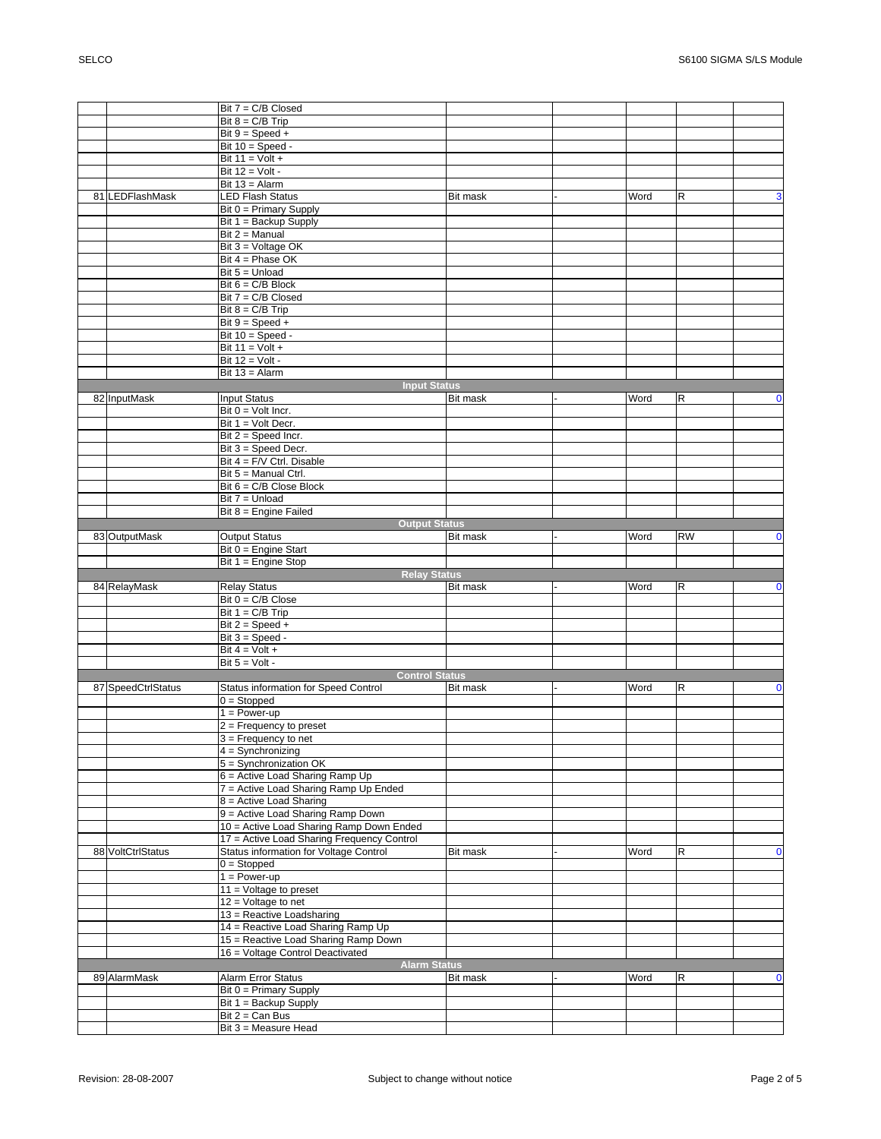|                    | Bit 7 = C/B Closed                         |                 |      |             |             |
|--------------------|--------------------------------------------|-----------------|------|-------------|-------------|
|                    |                                            |                 |      |             |             |
|                    | Bit $8 = C/B$ Trip                         |                 |      |             |             |
|                    | Bit $9 = Speed +$                          |                 |      |             |             |
|                    | Bit $10 = Speed -$                         |                 |      |             |             |
|                    | Bit $11 =$ Volt +                          |                 |      |             |             |
|                    | Bit $12 =$ Volt -                          |                 |      |             |             |
|                    |                                            |                 |      |             |             |
|                    | Bit $13 =$ Alarm                           |                 |      |             |             |
| 81 LEDFlashMask    | <b>LED Flash Status</b>                    | Bit mask        | Word | R           | 3           |
|                    | Bit 0 = Primary Supply                     |                 |      |             |             |
|                    | Bit 1 = Backup Supply                      |                 |      |             |             |
|                    | $Bit 2 = Manual$                           |                 |      |             |             |
|                    | Bit 3 = Voltage OK                         |                 |      |             |             |
|                    |                                            |                 |      |             |             |
|                    | Bit $4 =$ Phase OK                         |                 |      |             |             |
|                    | Bit $5 =$ Unload                           |                 |      |             |             |
|                    | Bit $6 = C/B$ Block                        |                 |      |             |             |
|                    | Bit $7 = C/B$ Closed                       |                 |      |             |             |
|                    | Bit $8 = C/B$ Trip                         |                 |      |             |             |
|                    |                                            |                 |      |             |             |
|                    | Bit $9 = Speed +$                          |                 |      |             |             |
|                    | Bit $10 = Speed -$                         |                 |      |             |             |
|                    | Bit $11 =$ Volt +                          |                 |      |             |             |
|                    | Bit $12 =$ Volt -                          |                 |      |             |             |
|                    | Bit $13 =$ Alarm                           |                 |      |             |             |
|                    |                                            |                 |      |             |             |
|                    | <b>Input Status</b>                        |                 |      |             |             |
| 82 InputMask       | <b>Input Status</b>                        | <b>Bit mask</b> | Word | $\mathsf R$ | $\mathbf 0$ |
|                    | Bit $0 =$ Volt Incr.                       |                 |      |             |             |
|                    | Bit 1 = Volt Decr.                         |                 |      |             |             |
|                    | Bit $2 =$ Speed Incr.                      |                 |      |             |             |
|                    | Bit 3 = Speed Decr.                        |                 |      |             |             |
|                    | Bit $4 = F/V$ Ctrl. Disable                |                 |      |             |             |
|                    |                                            |                 |      |             |             |
|                    | Bit 5 = Manual Ctrl.                       |                 |      |             |             |
|                    | Bit $6 = C/B$ Close Block                  |                 |      |             |             |
|                    | Bit 7 = Unload                             |                 |      |             |             |
|                    | Bit 8 = Engine Failed                      |                 |      |             |             |
|                    | <b>Output Status</b>                       |                 |      |             |             |
| 83 OutputMask      | <b>Output Status</b>                       | <b>Bit mask</b> | Word | <b>RW</b>   | $\mathbf 0$ |
|                    |                                            |                 |      |             |             |
|                    | Bit 0 = Engine Start                       |                 |      |             |             |
|                    | Bit 1 = Engine Stop                        |                 |      |             |             |
|                    |                                            |                 |      |             |             |
|                    | <b>Relay Status</b>                        |                 |      |             |             |
| 84 RelayMask       | <b>Relay Status</b>                        | Bit mask        | Word | $\mathsf R$ | $\mathbf 0$ |
|                    |                                            |                 |      |             |             |
|                    | Bit $0 = C/B$ Close                        |                 |      |             |             |
|                    | Bit $1 = C/B$ Trip                         |                 |      |             |             |
|                    | Bit $2 =$ Speed +                          |                 |      |             |             |
|                    | Bit $3 = Speed -$                          |                 |      |             |             |
|                    | Bit $4 =$ Volt +                           |                 |      |             |             |
|                    | Bit $5 =$ Volt -                           |                 |      |             |             |
|                    |                                            |                 |      |             |             |
|                    | <b>Control Status</b>                      |                 |      |             |             |
| 87 SpeedCtrlStatus | Status information for Speed Control       | <b>Bit mask</b> | Word | R           | $\mathbf 0$ |
|                    | $0 =$ Stopped                              |                 |      |             |             |
|                    | $1 = Power-up$                             |                 |      |             |             |
|                    | $2 =$ Frequency to preset                  |                 |      |             |             |
|                    | $3 =$ Frequency to net                     |                 |      |             |             |
|                    | $4 =$ Synchronizing                        |                 |      |             |             |
|                    | $5 =$ Synchronization OK                   |                 |      |             |             |
|                    |                                            |                 |      |             |             |
|                    | 6 = Active Load Sharing Ramp Up            |                 |      |             |             |
|                    | 7 = Active Load Sharing Ramp Up Ended      |                 |      |             |             |
|                    | 8 = Active Load Sharing                    |                 |      |             |             |
|                    | 9 = Active Load Sharing Ramp Down          |                 |      |             |             |
|                    | 10 = Active Load Sharing Ramp Down Ended   |                 |      |             |             |
|                    |                                            |                 |      |             |             |
|                    | 17 = Active Load Sharing Frequency Control |                 |      |             | $\mathbf 0$ |
| 88 VoltCtrlStatus  | Status information for Voltage Control     | Bit mask        | Word | R           |             |
|                    | $0 =$ Stopped                              |                 |      |             |             |
|                    | $1 = Power-up$                             |                 |      |             |             |
|                    | $11 =$ Voltage to preset                   |                 |      |             |             |
|                    | $12 =$ Voltage to net                      |                 |      |             |             |
|                    | 13 = Reactive Loadsharing                  |                 |      |             |             |
|                    |                                            |                 |      |             |             |
|                    | 14 = Reactive Load Sharing Ramp Up         |                 |      |             |             |
|                    | 15 = Reactive Load Sharing Ramp Down       |                 |      |             |             |
|                    | 16 = Voltage Control Deactivated           |                 |      |             |             |
|                    | <b>Alarm Status</b>                        |                 |      |             |             |
| 89 AlarmMask       | <b>Alarm Error Status</b>                  | Bit mask        | Word | R           | $\mathbf 0$ |
|                    | Bit 0 = Primary Supply                     |                 |      |             |             |
|                    |                                            |                 |      |             |             |
|                    | Bit 1 = Backup Supply                      |                 |      |             |             |
|                    | Bit $2 = Can Bus$<br>Bit 3 = Measure Head  |                 |      |             |             |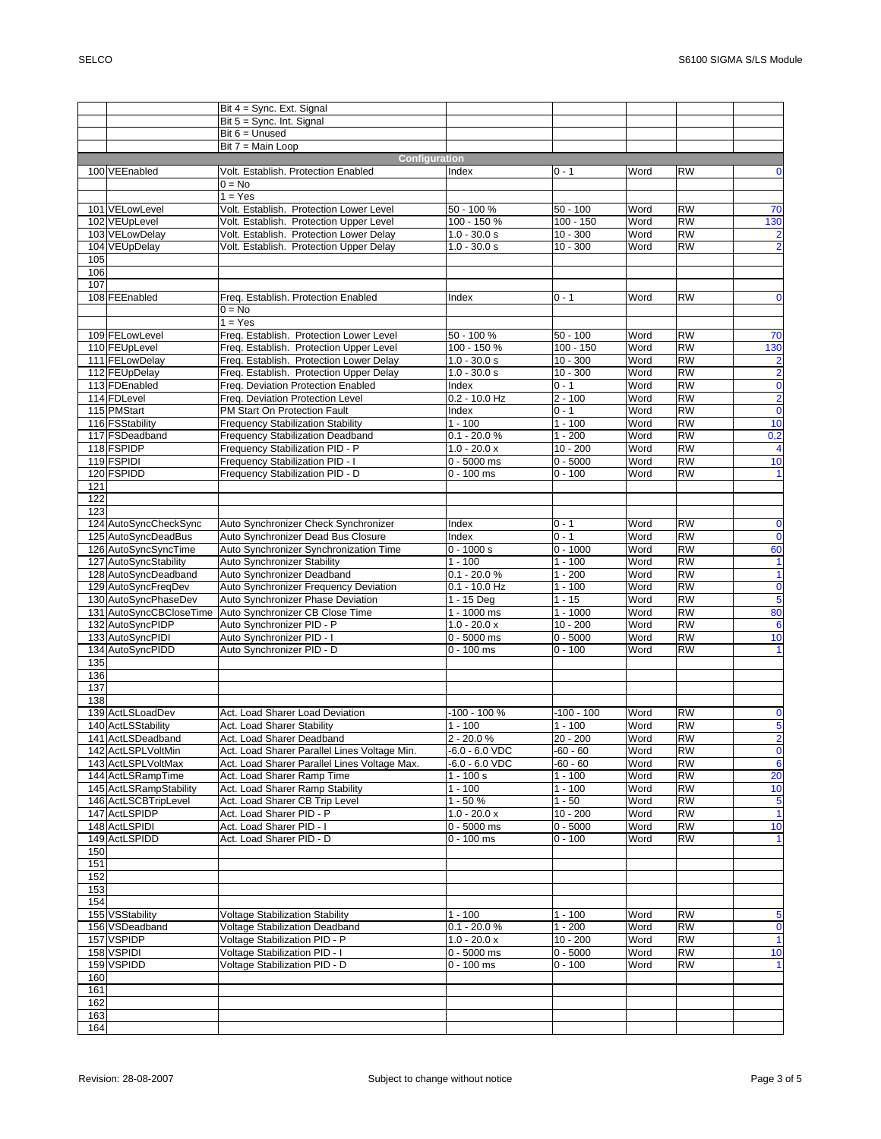|     |                         | Bit 4 = Sync. Ext. Signal                       |                                    |                          |              |                        |                         |
|-----|-------------------------|-------------------------------------------------|------------------------------------|--------------------------|--------------|------------------------|-------------------------|
|     |                         | Bit 5 = Sync. Int. Signal                       |                                    |                          |              |                        |                         |
|     |                         | Bit $6 =$ Unused                                |                                    |                          |              |                        |                         |
|     |                         | Bit 7 = Main Loop                               |                                    |                          |              |                        |                         |
|     |                         | Configuration                                   |                                    |                          |              |                        |                         |
|     | 100 VEEnabled           | Volt. Establish. Protection Enabled             | Index                              | 0 - 1                    | Word         | <b>RW</b>              | $\mathbf 0$             |
|     |                         | $0 = No$                                        |                                    |                          |              |                        |                         |
|     |                         | $1 = Yes$                                       |                                    |                          |              |                        |                         |
|     | 101 VELowLevel          | Volt. Establish. Protection Lower Level         | 50 - 100 %                         | $50 - 100$               | Word         | <b>RW</b>              | 70                      |
|     | 102 VEUpLevel           | Volt. Establish. Protection Upper Level         | 100 - 150 %                        | $100 - 150$              | Word         | <b>RW</b>              | 130                     |
|     | 103 VELowDelay          | Volt. Establish. Protection Lower Delay         | $1.0 - 30.0 s$                     | $10 - 300$               | Word         | <b>RW</b>              | $\overline{\mathbf{c}}$ |
|     | 104 VEUpDelay           | Volt. Establish. Protection Upper Delay         | $1.0 - 30.0 s$                     | $10 - 300$               | Word         | <b>RW</b>              | $\overline{2}$          |
| 105 |                         |                                                 |                                    |                          |              |                        |                         |
| 106 |                         |                                                 |                                    |                          |              |                        |                         |
| 107 |                         |                                                 |                                    |                          |              |                        |                         |
|     |                         |                                                 |                                    | $0 - 1$                  |              | <b>RW</b>              |                         |
|     | 108 FEEnabled           | Freq. Establish. Protection Enabled<br>$0 = No$ | Index                              |                          | Word         |                        | 0                       |
|     |                         |                                                 |                                    |                          |              |                        |                         |
|     |                         | $1 = Yes$                                       |                                    |                          |              |                        |                         |
|     | 109 FELowLevel          | Freq. Establish. Protection Lower Level         | 50 - 100 %                         | $50 - 100$               | Word         | <b>RW</b>              | 70                      |
|     | 110 FEUpLevel           | Freq. Establish. Protection Upper Level         | 100 - 150 %                        | $100 - 150$              | Word         | <b>RW</b>              | 130                     |
|     | 111 FELowDelay          | Freq. Establish. Protection Lower Delay         | $1.0 - 30.0 s$                     | $10 - 300$               | Word         | <b>RW</b>              | $\overline{2}$          |
|     | 112 FEUpDelay           | Freq. Establish. Protection Upper Delay         | $1.0 - 30.0 s$                     | $10 - 300$               | Word         | <b>RW</b>              | $\overline{\mathbf{2}}$ |
|     | 113 FDEnabled           | Freg. Deviation Protection Enabled              | Index                              | $0 - 1$                  | Word         | <b>RW</b>              | $\overline{\mathbf{0}}$ |
|     | 114 FDLevel             | Freq. Deviation Protection Level                | $0.2 - 10.0$ Hz                    | $2 - 100$                | Word         | <b>RW</b>              | $\overline{2}$          |
|     | 115 PMStart             | PM Start On Protection Fault                    | Index                              | $0 - 1$                  | Word         | <b>RW</b>              | $\overline{\mathbf{0}}$ |
|     | 116 FSStability         | <b>Frequency Stabilization Stability</b>        | $1 - 100$                          | $1 - 100$                | Word         | <b>RW</b>              | 10                      |
|     | 117 FSDeadband          | Frequency Stabilization Deadband                | $0.1 - 20.0 %$                     | $1 - 200$                | Word         | <b>RW</b>              | 0,2                     |
|     | 118 FSPIDP              | Frequency Stabilization PID - P                 | $1.0 - 20.0 x$                     | $10 - 200$               | Word         | <b>RW</b>              | $\overline{\mathbf{4}}$ |
|     | 119 FSPIDI              | Frequency Stabilization PID - I                 | $0 - 5000$ ms                      | $0 - 5000$               | Word         | <b>RW</b>              | 10                      |
|     | 120 FSPIDD              | Frequency Stabilization PID - D                 | $0 - 100$ ms                       | $0 - 100$                | Word         | <b>RW</b>              | $\vert$                 |
| 121 |                         |                                                 |                                    |                          |              |                        |                         |
| 122 |                         |                                                 |                                    |                          |              |                        |                         |
| 123 |                         |                                                 |                                    |                          |              |                        |                         |
|     | 124 AutoSyncCheckSync   | Auto Synchronizer Check Synchronizer            | Index                              | $0 - 1$                  | Word         | <b>RW</b>              | $\mathbf 0$             |
|     | 125 AutoSyncDeadBus     | Auto Synchronizer Dead Bus Closure              | Index                              | $0 - 1$                  | Word         | <b>RW</b>              | $\mathbf 0$             |
|     | 126 AutoSyncSyncTime    | Auto Synchronizer Synchronization Time          | $0 - 1000 s$                       | $0 - 1000$               | Word         | <b>RW</b>              | 60                      |
|     | 127 AutoSyncStability   | <b>Auto Synchronizer Stability</b>              | $1 - 100$                          | $1 - 100$                | Word         | <b>RW</b>              | $\overline{1}$          |
|     | 128 AutoSyncDeadband    | Auto Synchronizer Deadband                      | $0.1 - 20.0 %$                     | $1 - 200$                | Word         | <b>RW</b>              | $\overline{\mathbf{1}}$ |
|     | 129 AutoSyncFreqDev     | Auto Synchronizer Frequency Deviation           | $0.1 - 10.0$ Hz                    | $1 - 100$                | Word         | <b>RW</b>              | $\pmb{0}$               |
|     | 130 AutoSyncPhaseDev    | Auto Synchronizer Phase Deviation               | 1 - 15 Deg                         | $1 - 15$                 | Word         | <b>RW</b>              | $\overline{\mathbf{5}}$ |
|     | 131 AutoSyncCBCloseTime | Auto Synchronizer CB Close Time                 | $1 - 1000$ ms                      | $1 - 1000$               | Word         | <b>RW</b>              | 80                      |
|     | 132 AutoSyncPIDP        | Auto Synchronizer PID - P                       | $1.0 - 20.0 x$                     | $10 - 200$               | Word         | <b>RW</b>              | $\overline{6}$          |
|     | 133 AutoSyncPIDI        | Auto Synchronizer PID - I                       | $0 - 5000$ ms                      | $0 - 5000$               | Word         | <b>RW</b>              | 10                      |
|     | 134 AutoSyncPIDD        | Auto Synchronizer PID - D                       | $0 - 100$ ms                       | $0 - 100$                | Word         | <b>RW</b>              | 1                       |
| 135 |                         |                                                 |                                    |                          |              |                        |                         |
| 136 |                         |                                                 |                                    |                          |              |                        |                         |
| 137 |                         |                                                 |                                    |                          |              |                        |                         |
| 138 |                         |                                                 |                                    |                          |              |                        |                         |
|     | 139 ActLSLoadDev        | Act. Load Sharer Load Deviation                 | $-100 - 100 %$                     | $-100 - 100$             | Word         | <b>RW</b>              | 0                       |
|     | 140 ActLSStability      | Act. Load Sharer Stability                      | $1 - 100$                          | $1 - 100$                | Word         | <b>RW</b>              | 5                       |
|     | 141 ActLSDeadband       | Act. Load Sharer Deadband                       | $2 - 20.0 %$                       | $20 - 200$               | Word         | <b>RW</b>              | $\overline{2}$          |
|     | 142 ActLSPLVoltMin      | Act. Load Sharer Parallel Lines Voltage Min.    |                                    |                          |              | <b>RW</b>              |                         |
|     | 143 ActLSPLVoltMax      | Act. Load Sharer Parallel Lines Voltage Max.    | -6.0 - 6.0 VDC<br>$-6.0 - 6.0$ VDC | $-60 - 60$<br>$-60 - 60$ | Word<br>Word | <b>RW</b>              | $\mathbf 0$<br>$\bf 6$  |
|     | 144 ActLSRampTime       | Act. Load Sharer Ramp Time                      |                                    | $1 - 100$                |              | <b>RW</b>              |                         |
|     | 145 ActLSRampStability  | Act. Load Sharer Ramp Stability                 | $1 - 100 s$                        | $1 - 100$                | Word         |                        | 20                      |
|     | 146 ActLSCBTripLevel    | Act. Load Sharer CB Trip Level                  | $1 - 100$<br>$1 - 50%$             | $1 - 50$                 | Word         | <b>RW</b><br><b>RW</b> | 10                      |
|     |                         |                                                 |                                    |                          | Word         |                        | 5                       |
|     | 147 ActLSPIDP           | Act. Load Sharer PID - P                        | $1.0 - 20.0 x$                     | $10 - 200$               | Word         | <b>RW</b>              | $\overline{1}$          |
|     | 148 ActLSPIDI           | Act. Load Sharer PID - I                        | $0 - 5000$ ms                      | $0 - 5000$               | Word         | <b>RW</b>              | 10                      |
|     | 149 ActLSPIDD           | Act. Load Sharer PID - D                        | $0 - 100$ ms                       | $0 - 100$                | Word         | <b>RW</b>              | 1                       |
| 150 |                         |                                                 |                                    |                          |              |                        |                         |
| 151 |                         |                                                 |                                    |                          |              |                        |                         |
| 152 |                         |                                                 |                                    |                          |              |                        |                         |
| 153 |                         |                                                 |                                    |                          |              |                        |                         |
| 154 |                         |                                                 |                                    |                          |              |                        |                         |
|     | 155 VSStability         | <b>Voltage Stabilization Stability</b>          | $1 - 100$                          | $1 - 100$                | Word         | <b>RW</b>              | 5                       |
|     | 156 VSDeadband          | <b>Voltage Stabilization Deadband</b>           | $0.1 - 20.0 %$                     | $1 - 200$                | Word         | <b>RW</b>              | $\bf{0}$                |
|     | 157 VSPIDP              | Voltage Stabilization PID - P                   | $1.0 - 20.0 x$                     | $10 - 200$               | Word         | <b>RW</b>              | $\mathbf{1}$            |
|     | 158 VSPIDI              | Voltage Stabilization PID - I                   | $0 - 5000$ ms                      | $0 - 5000$               | Word         | <b>RW</b>              | 10                      |
|     | 159 VSPIDD              | Voltage Stabilization PID - D                   | $0 - 100$ ms                       | $0 - 100$                | Word         | <b>RW</b>              | $\mathbf{1}$            |
| 160 |                         |                                                 |                                    |                          |              |                        |                         |
| 161 |                         |                                                 |                                    |                          |              |                        |                         |
| 162 |                         |                                                 |                                    |                          |              |                        |                         |
| 163 |                         |                                                 |                                    |                          |              |                        |                         |
| 164 |                         |                                                 |                                    |                          |              |                        |                         |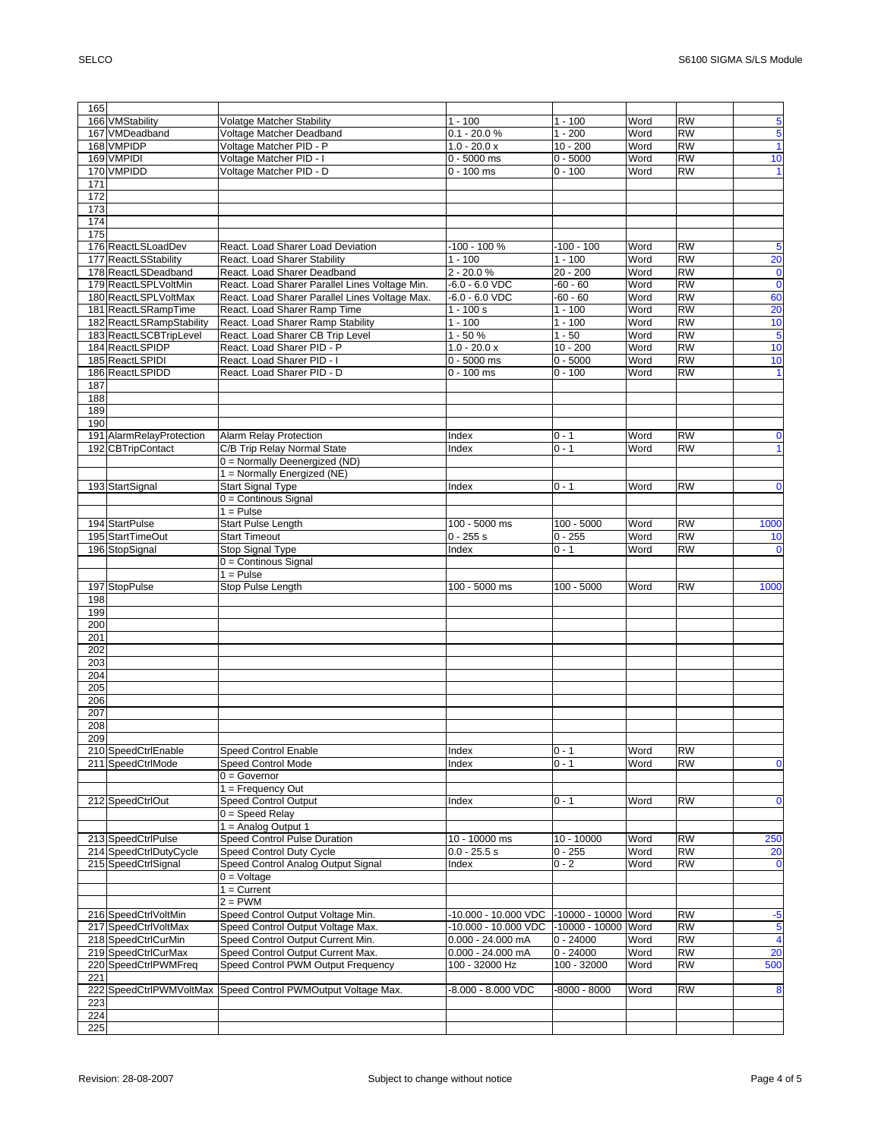| 165        |                          |                                                |                      |                      |      |           |                         |
|------------|--------------------------|------------------------------------------------|----------------------|----------------------|------|-----------|-------------------------|
|            | 166 VMStability          | <b>Volatge Matcher Stability</b>               | $1 - 100$            | $\overline{1}$ - 100 | Word | <b>RW</b> | 5                       |
|            |                          |                                                |                      |                      |      |           |                         |
|            | 167 VMDeadband           | Voltage Matcher Deadband                       | $0.1 - 20.0 %$       | $1 - 200$            | Word | <b>RW</b> | 5                       |
|            | 168 VMPIDP               | Voltage Matcher PID - P                        | $1.0 - 20.0 x$       | $10 - 200$           | Word | <b>RW</b> | $\mathbf{1}$            |
|            | 169 VMPIDI               | Voltage Matcher PID - I                        | $0 - 5000$ ms        | $0 - 5000$           | Word | <b>RW</b> | 10                      |
|            | 170 VMPIDD               | Voltage Matcher PID - D                        | $0 - 100$ ms         | $0 - 100$            | Word | <b>RW</b> | $\mathbf{1}$            |
| 171        |                          |                                                |                      |                      |      |           |                         |
| 172        |                          |                                                |                      |                      |      |           |                         |
|            |                          |                                                |                      |                      |      |           |                         |
| 173        |                          |                                                |                      |                      |      |           |                         |
| 174        |                          |                                                |                      |                      |      |           |                         |
| 175        |                          |                                                |                      |                      |      |           |                         |
|            | 176 ReactLSLoadDev       | React. Load Sharer Load Deviation              | $-100 - 100 %$       | $-100 - 100$         | Word | <b>RW</b> | 5                       |
|            | 177 ReactLSStability     | React. Load Sharer Stability                   | $\overline{1}$ - 100 | $1 - 100$            | Word | <b>RW</b> | 20                      |
|            | 178 ReactLSDeadband      | React. Load Sharer Deadband                    | $2 - 20.0 %$         | $20 - 200$           | Word | RW        | $\mathbf 0$             |
|            |                          |                                                |                      |                      |      |           |                         |
|            | 179 ReactLSPLVoltMin     | React. Load Sharer Parallel Lines Voltage Min. | $-6.0 - 6.0$ VDC     | $-60 - 60$           | Word | <b>RW</b> | $\mathbf 0$             |
|            | 180 ReactLSPLVoltMax     | React. Load Sharer Parallel Lines Voltage Max. | $-6.0 - 6.0$ VDC     | $-60 - 60$           | Word | <b>RW</b> | 60                      |
|            | 181 ReactLSRampTime      | React. Load Sharer Ramp Time                   | $1 - 100 s$          | $1 - 100$            | Word | <b>RW</b> | 20                      |
|            | 182 ReactLSRampStability | React. Load Sharer Ramp Stability              | $1 - 100$            | $1 - 100$            | Word | <b>RW</b> | 10                      |
|            | 183 ReactLSCBTripLevel   | React. Load Sharer CB Trip Level               | $1 - 50%$            | $1 - 50$             | Word | <b>RW</b> | $\overline{5}$          |
|            |                          |                                                |                      |                      |      |           |                         |
|            | 184 ReactLSPIDP          | React. Load Sharer PID - P                     | $1.0 - 20.0 x$       | $10 - 200$           | Word | <b>RW</b> | 10                      |
|            | 185 ReactLSPIDI          | React. Load Sharer PID - I                     | $0 - 5000$ ms        | $0 - 5000$           | Word | <b>RW</b> | 10                      |
|            | 186 ReactLSPIDD          | React. Load Sharer PID - D                     | $0 - 100$ ms         | $0 - 100$            | Word | <b>RW</b> | $\mathbf{1}$            |
| 187        |                          |                                                |                      |                      |      |           |                         |
| 188        |                          |                                                |                      |                      |      |           |                         |
| 189        |                          |                                                |                      |                      |      |           |                         |
|            |                          |                                                |                      |                      |      |           |                         |
| 190        |                          |                                                |                      |                      |      |           |                         |
|            | 191 AlarmRelayProtection | <b>Alarm Relay Protection</b>                  | Index                | $0 - 1$              | Word | <b>RW</b> | $\mathbf 0$             |
|            | 192 CBTripContact        | C/B Trip Relay Normal State                    | Index                | $0 - 1$              | Word | <b>RW</b> | $\mathbf{1}$            |
|            |                          | 0 = Normally Deenergized (ND)                  |                      |                      |      |           |                         |
|            |                          | 1 = Normally Energized (NE)                    |                      |                      |      |           |                         |
|            | 193 StartSignal          | <b>Start Signal Type</b>                       | Index                | $0 - 1$              | Word | <b>RW</b> | $\mathbf 0$             |
|            |                          |                                                |                      |                      |      |           |                         |
|            |                          | 0 = Continous Signal                           |                      |                      |      |           |                         |
|            |                          | $1 = Pulse$                                    |                      |                      |      |           |                         |
|            | 194 StartPulse           | <b>Start Pulse Length</b>                      | 100 - 5000 ms        | $100 - 5000$         | Word | <b>RW</b> | 1000                    |
|            | 195 StartTimeOut         | <b>Start Timeout</b>                           | $0 - 255s$           | $0 - 255$            | Word | <b>RW</b> | 10                      |
|            | 196 StopSignal           | Stop Signal Type                               | Index                | $0 - 1$              | Word | <b>RW</b> | $\mathbf 0$             |
|            |                          | 0 = Continous Signal                           |                      |                      |      |           |                         |
|            |                          |                                                |                      |                      |      |           |                         |
|            |                          |                                                |                      |                      |      |           |                         |
|            |                          | $1 =$ Pulse                                    |                      |                      |      |           |                         |
|            | 197 StopPulse            | Stop Pulse Length                              | 100 - 5000 ms        | $100 - 5000$         | Word | <b>RW</b> | 1000                    |
| 198        |                          |                                                |                      |                      |      |           |                         |
| 199        |                          |                                                |                      |                      |      |           |                         |
|            |                          |                                                |                      |                      |      |           |                         |
| 200        |                          |                                                |                      |                      |      |           |                         |
| 201        |                          |                                                |                      |                      |      |           |                         |
| 202        |                          |                                                |                      |                      |      |           |                         |
| 203        |                          |                                                |                      |                      |      |           |                         |
| 204        |                          |                                                |                      |                      |      |           |                         |
| 205        |                          |                                                |                      |                      |      |           |                         |
| 206        |                          |                                                |                      |                      |      |           |                         |
|            |                          |                                                |                      |                      |      |           |                         |
| 207        |                          |                                                |                      |                      |      |           |                         |
| 208        |                          |                                                |                      |                      |      |           |                         |
| 209        |                          |                                                |                      |                      |      |           |                         |
|            | 210 SpeedCtrlEnable      | <b>Speed Control Enable</b>                    | Index                | $0 - 1$              | Word | <b>RW</b> |                         |
|            | 211 SpeedCtrlMode        | <b>Speed Control Mode</b>                      | Index                | $0 - 1$              | Word | <b>RW</b> | $\mathbf 0$             |
|            |                          | $0 = Governor$                                 |                      |                      |      |           |                         |
|            |                          |                                                |                      |                      |      |           |                         |
|            |                          | $1 =$ Frequency Out                            |                      |                      |      |           |                         |
|            | 212 SpeedCtrlOut         | <b>Speed Control Output</b>                    | Index                | $0 - 1$              | Word | <b>RW</b> | $\mathbf 0$             |
|            |                          | $0 = Speed$ Relay                              |                      |                      |      |           |                         |
|            |                          | 1 = Analog Output 1                            |                      |                      |      |           |                         |
|            | 213 SpeedCtrlPulse       | Speed Control Pulse Duration                   | 10 - 10000 ms        | 10 - 10000           | Word | <b>RW</b> | 250                     |
|            | 214 SpeedCtrlDutyCycle   | Speed Control Duty Cycle                       | $0.0 - 25.5 s$       | $0 - 255$            | Word | <b>RW</b> | 20                      |
|            | 215 SpeedCtrlSignal      |                                                | Index                | $0 - 2$              | Word | <b>RW</b> | $\mathbf 0$             |
|            |                          | Speed Control Analog Output Signal             |                      |                      |      |           |                         |
|            |                          | $0 =$ Voltage                                  |                      |                      |      |           |                         |
|            |                          | $1 =$ Current                                  |                      |                      |      |           |                         |
|            |                          | $2 = PWM$                                      |                      |                      |      |           |                         |
|            | 216 SpeedCtrlVoltMin     | Speed Control Output Voltage Min.              | 10.000 - 10.000 VDC  | -10000 - 10000       | Word | <b>RW</b> | -5                      |
|            | 217 SpeedCtrlVoltMax     | Speed Control Output Voltage Max.              | -10.000 - 10.000 VDC | -10000 - 10000 Word  |      | <b>RW</b> | 5                       |
|            | 218 SpeedCtrlCurMin      | Speed Control Output Current Min.              | $0.000 - 24.000$ mA  | $0 - 24000$          | Word | <b>RW</b> | $\overline{\mathbf{4}}$ |
|            | 219 SpeedCtrlCurMax      | Speed Control Output Current Max.              | $0.000 - 24.000$ mA  | $0 - 24000$          | Word | <b>RW</b> |                         |
|            |                          |                                                |                      |                      |      |           | 20                      |
|            | 220 SpeedCtrlPWMFreq     | Speed Control PWM Output Frequency             | 100 - 32000 Hz       | 100 - 32000          | Word | <b>RW</b> | 500                     |
| 221        |                          |                                                |                      |                      |      |           |                         |
|            | 222 SpeedCtrlPWMVoltMax  | Speed Control PWMOutput Voltage Max.           | -8.000 - 8.000 VDC   | $-8000 - 8000$       | Word | <b>RW</b> | 8                       |
| 223        |                          |                                                |                      |                      |      |           |                         |
| 224<br>225 |                          |                                                |                      |                      |      |           |                         |